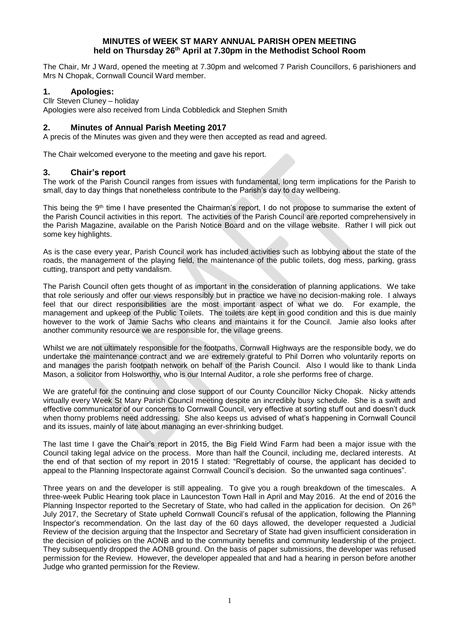## **MINUTES of WEEK ST MARY ANNUAL PARISH OPEN MEETING held on Thursday 26 th April at 7.30pm in the Methodist School Room**

The Chair, Mr J Ward, opened the meeting at 7.30pm and welcomed 7 Parish Councillors, 6 parishioners and Mrs N Chopak, Cornwall Council Ward member.

### **1. Apologies:**

Cllr Steven Cluney – holiday

Apologies were also received from Linda Cobbledick and Stephen Smith

# **2. Minutes of Annual Parish Meeting 2017**

A precis of the Minutes was given and they were then accepted as read and agreed.

The Chair welcomed everyone to the meeting and gave his report.

### **3. Chair's report**

The work of the Parish Council ranges from issues with fundamental, long term implications for the Parish to small, day to day things that nonetheless contribute to the Parish's day to day wellbeing.

This being the 9<sup>th</sup> time I have presented the Chairman's report, I do not propose to summarise the extent of the Parish Council activities in this report. The activities of the Parish Council are reported comprehensively in the Parish Magazine, available on the Parish Notice Board and on the village website. Rather I will pick out some key highlights.

As is the case every year, Parish Council work has included activities such as lobbying about the state of the roads, the management of the playing field, the maintenance of the public toilets, dog mess, parking, grass cutting, transport and petty vandalism.

The Parish Council often gets thought of as important in the consideration of planning applications. We take that role seriously and offer our views responsibly but in practice we have no decision-making role. I always feel that our direct responsibilities are the most important aspect of what we do. For example, the management and upkeep of the Public Toilets. The toilets are kept in good condition and this is due mainly however to the work of Jamie Sachs who cleans and maintains it for the Council. Jamie also looks after another community resource we are responsible for, the village greens.

Whilst we are not ultimately responsible for the footpaths, Cornwall Highways are the responsible body, we do undertake the maintenance contract and we are extremely grateful to Phil Dorren who voluntarily reports on and manages the parish footpath network on behalf of the Parish Council. Also I would like to thank Linda Mason, a solicitor from Holsworthy, who is our Internal Auditor, a role she performs free of charge.

We are grateful for the continuing and close support of our County Councillor Nicky Chopak. Nicky attends virtually every Week St Mary Parish Council meeting despite an incredibly busy schedule. She is a swift and effective communicator of our concerns to Cornwall Council, very effective at sorting stuff out and doesn't duck when thorny problems need addressing. She also keeps us advised of what's happening in Cornwall Council and its issues, mainly of late about managing an ever-shrinking budget.

The last time I gave the Chair's report in 2015, the Big Field Wind Farm had been a major issue with the Council taking legal advice on the process. More than half the Council, including me, declared interests. At the end of that section of my report in 2015 I stated: "Regrettably of course, the applicant has decided to appeal to the Planning Inspectorate against Cornwall Council's decision. So the unwanted saga continues".

Three years on and the developer is still appealing. To give you a rough breakdown of the timescales. A three-week Public Hearing took place in Launceston Town Hall in April and May 2016. At the end of 2016 the Planning Inspector reported to the Secretary of State, who had called in the application for decision. On 26<sup>th</sup> July 2017, the Secretary of State upheld Cornwall Council's refusal of the application, following the Planning Inspector's recommendation. On the last day of the 60 days allowed, the developer requested a Judicial Review of the decision arguing that the Inspector and Secretary of State had given insufficient consideration in the decision of policies on the AONB and to the community benefits and community leadership of the project. They subsequently dropped the AONB ground. On the basis of paper submissions, the developer was refused permission for the Review. However, the developer appealed that and had a hearing in person before another Judge who granted permission for the Review.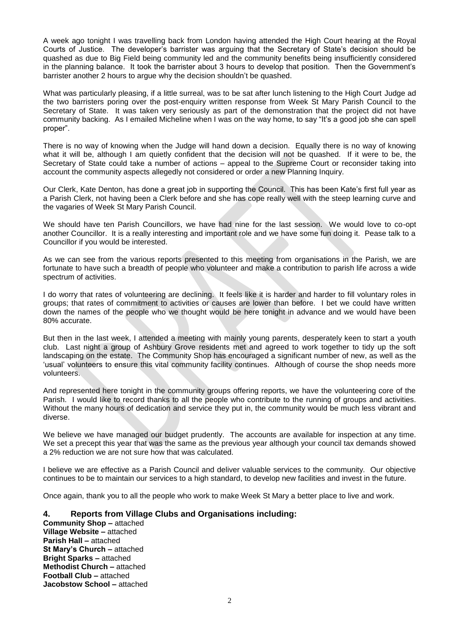A week ago tonight I was travelling back from London having attended the High Court hearing at the Royal Courts of Justice. The developer's barrister was arguing that the Secretary of State's decision should be quashed as due to Big Field being community led and the community benefits being insufficiently considered in the planning balance. It took the barrister about 3 hours to develop that position. Then the Government's barrister another 2 hours to argue why the decision shouldn't be quashed.

What was particularly pleasing, if a little surreal, was to be sat after lunch listening to the High Court Judge ad the two barristers poring over the post-enquiry written response from Week St Mary Parish Council to the Secretary of State. It was taken very seriously as part of the demonstration that the project did not have community backing. As I emailed Micheline when I was on the way home, to say "It's a good job she can spell proper".

There is no way of knowing when the Judge will hand down a decision. Equally there is no way of knowing what it will be, although I am quietly confident that the decision will not be quashed. If it were to be, the Secretary of State could take a number of actions – appeal to the Supreme Court or reconsider taking into account the community aspects allegedly not considered or order a new Planning Inquiry.

Our Clerk, Kate Denton, has done a great job in supporting the Council. This has been Kate's first full year as a Parish Clerk, not having been a Clerk before and she has cope really well with the steep learning curve and the vagaries of Week St Mary Parish Council.

We should have ten Parish Councillors, we have had nine for the last session. We would love to co-opt another Councillor. It is a really interesting and important role and we have some fun doing it. Pease talk to a Councillor if you would be interested.

As we can see from the various reports presented to this meeting from organisations in the Parish, we are fortunate to have such a breadth of people who volunteer and make a contribution to parish life across a wide spectrum of activities.

I do worry that rates of volunteering are declining. It feels like it is harder and harder to fill voluntary roles in groups; that rates of commitment to activities or causes are lower than before. I bet we could have written down the names of the people who we thought would be here tonight in advance and we would have been 80% accurate.

But then in the last week, I attended a meeting with mainly young parents, desperately keen to start a youth club. Last night a group of Ashbury Grove residents met and agreed to work together to tidy up the soft landscaping on the estate. The Community Shop has encouraged a significant number of new, as well as the 'usual' volunteers to ensure this vital community facility continues. Although of course the shop needs more volunteers.

And represented here tonight in the community groups offering reports, we have the volunteering core of the Parish. I would like to record thanks to all the people who contribute to the running of groups and activities. Without the many hours of dedication and service they put in, the community would be much less vibrant and diverse.

We believe we have managed our budget prudently. The accounts are available for inspection at any time. We set a precept this year that was the same as the previous year although your council tax demands showed a 2% reduction we are not sure how that was calculated.

I believe we are effective as a Parish Council and deliver valuable services to the community. Our objective continues to be to maintain our services to a high standard, to develop new facilities and invest in the future.

Once again, thank you to all the people who work to make Week St Mary a better place to live and work.

### **4. Reports from Village Clubs and Organisations including:**

**Community Shop –** attached **Village Website –** attached **Parish Hall –** attached **St Mary's Church –** attached **Bright Sparks –** attached **Methodist Church –** attached **Football Club –** attached **Jacobstow School –** attached